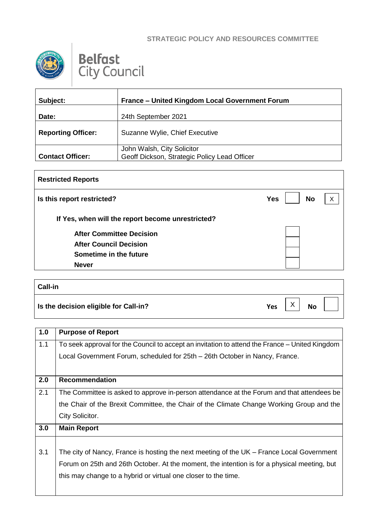## **STRATEGIC POLICY AND RESOURCES COMMITTEE**



## **Belfast**<br>City Council

| Subject:                  | France - United Kingdom Local Government Forum                             |
|---------------------------|----------------------------------------------------------------------------|
| Date:                     | 24th September 2021                                                        |
| <b>Reporting Officer:</b> | Suzanne Wylie, Chief Executive                                             |
| <b>Contact Officer:</b>   | John Walsh, City Solicitor<br>Geoff Dickson, Strategic Policy Lead Officer |

| <b>Restricted Reports</b>                         |                         |   |
|---------------------------------------------------|-------------------------|---|
| Is this report restricted?                        | <b>No</b><br><b>Yes</b> | X |
| If Yes, when will the report become unrestricted? |                         |   |
| <b>After Committee Decision</b>                   |                         |   |
| <b>After Council Decision</b>                     |                         |   |
| Sometime in the future                            |                         |   |
| <b>Never</b>                                      |                         |   |
|                                                   |                         |   |

## **Call-in Is the decision eligible for Call-in? CALL 2 Ves**  $\begin{bmatrix} X \\ Y \end{bmatrix}$  **No** X

| 1.0 | <b>Purpose of Report</b>                                                                       |
|-----|------------------------------------------------------------------------------------------------|
| 1.1 | To seek approval for the Council to accept an invitation to attend the France – United Kingdom |
|     | Local Government Forum, scheduled for 25th – 26th October in Nancy, France.                    |
|     |                                                                                                |
| 2.0 | <b>Recommendation</b>                                                                          |
| 2.1 | The Committee is asked to approve in-person attendance at the Forum and that attendees be      |
|     | the Chair of the Brexit Committee, the Chair of the Climate Change Working Group and the       |
|     | City Solicitor.                                                                                |
| 3.0 | <b>Main Report</b>                                                                             |
|     |                                                                                                |
| 3.1 | The city of Nancy, France is hosting the next meeting of the UK – France Local Government      |
|     | Forum on 25th and 26th October. At the moment, the intention is for a physical meeting, but    |
|     | this may change to a hybrid or virtual one closer to the time.                                 |
|     |                                                                                                |